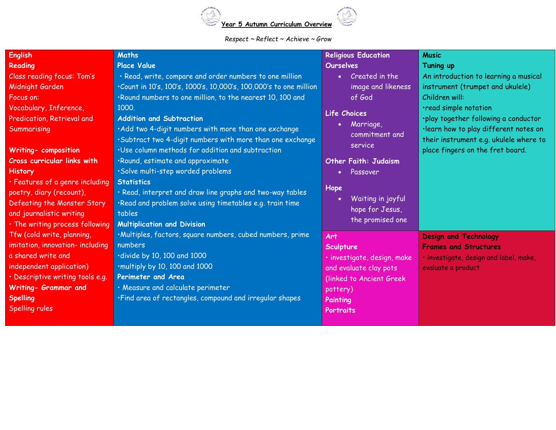

## *Respect ~ Reflect ~ Achieve ~ Grow*

| <b>English</b>                     | <b>Maths</b>                                                      | <b>Religious Education</b>     | <b>Music</b>                           |
|------------------------------------|-------------------------------------------------------------------|--------------------------------|----------------------------------------|
| Reading                            | <b>Place Value</b>                                                | <b>Ourselves</b>               | Tuning up                              |
| Class reading focus: Tom's         | · Read, write, compare and order numbers to one million           | Created in the<br>$\bullet$    | An introduction to learning a musical  |
| Midnight Garden                    | .Count in 10's, 100's, 1000's, 10,000's, 100,000's to one million | image and likeness             | instrument (trumpet and ukulele)       |
| Focus on:                          | .Round numbers to one million, to the nearest 10, 100 and         | of God                         | Children will:                         |
| Vocabulary, Inference,             | 1000.                                                             | Life Choices                   | ·read simple notation                  |
| Predication, Retrieval and         | <b>Addition and Subtraction</b>                                   | Marriage,                      | ·play together following a conductor   |
| Summarising                        | . Add two 4-digit numbers with more than one exchange             | $\bullet$<br>commitment and    | ·learn how to play different notes on  |
|                                    | .Subtract two 4-digit numbers with more than one exchange         | service                        | their instrument e.g. ukulele where to |
| <b>Writing- composition</b>        | ·Use column methods for addition and subtraction                  |                                | place fingers on the fret board.       |
| <b>Cross curricular links with</b> | .Round, estimate and approximate                                  | <b>Other Faith: Judaism</b>    |                                        |
| <b>History</b>                     | ·Solve multi-step worded problems                                 | Passover<br>٠                  |                                        |
| · Features of a genre including    | <b>Statistics</b>                                                 |                                |                                        |
| poetry, diary (recount),           | · Read, interpret and draw line graphs and two-way tables         | Hope                           |                                        |
| Defeating the Monster Story        | ·Read and problem solve using timetables e.g. train time          | Waiting in joyful<br>$\bullet$ |                                        |
| and journalistic writing           | tables                                                            | hope for Jesus,                |                                        |
| . The writing process following    | <b>Multiplication and Division</b>                                | the promised one               |                                        |
| Tfw (cold write, planning,         | ·Multiples, factors, square numbers, cubed numbers, prime         | Art                            | <b>Design and Technology</b>           |
| imitation, innovation- including   | numbers                                                           | Sculpture                      | <b>Frames and Structures</b>           |
| a shared write and                 | divide by 10, 100 and 1000                                        | · investigate, design, make    | · investigate, design and label, make, |
| independent application)           | ·multiply by 10, 100 and 1000                                     | and evaluate clay pots         | evaluate a product                     |
| · Descriptive writing tools e.g.   | Perimeter and Area                                                | (linked to Ancient Greek)      |                                        |
| Writing- Grammar and               | · Measure and calculate perimeter                                 | pottery)                       |                                        |
| <b>Spelling</b>                    | .Find area of rectangles, compound and irregular shapes           | Painting                       |                                        |
| Spelling rules                     |                                                                   | Portraits                      |                                        |
|                                    |                                                                   |                                |                                        |